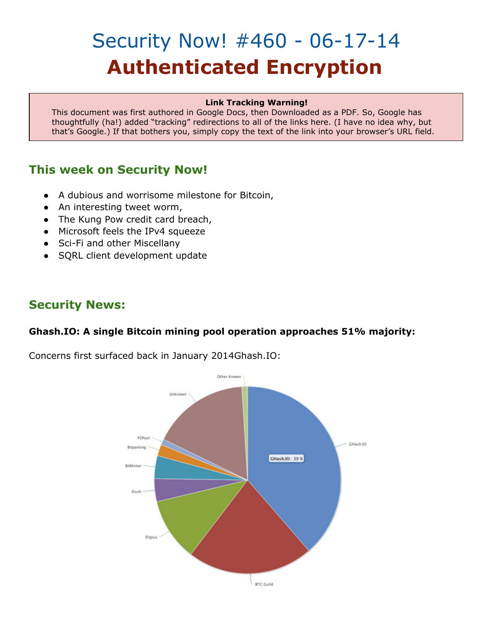# Security Now! #460 - 06-17-14 **Authenticated Encryption**

#### **Link Tracking Warning!**

This document was first authored in Google Docs, then Downloaded as a PDF. So, Google has thoughtfully (ha!) added "tracking" redirections to all of the links here. (I have no idea why, but that's Google.) If that bothers you, simply copy the text of the link into your browser's URL field.

## **This week on Security Now!**

- A dubious and worrisome milestone for Bitcoin,
- An interesting tweet worm,
- The Kung Pow credit card breach,
- Microsoft feels the IPv4 squeeze
- Sci-Fi and other Miscellany
- SQRL client development update

## **Security News:**

## **Ghash.IO: A single Bitcoin mining pool operation approaches 51% majority:**

Concerns first surfaced back in January 2014Ghash.IO:

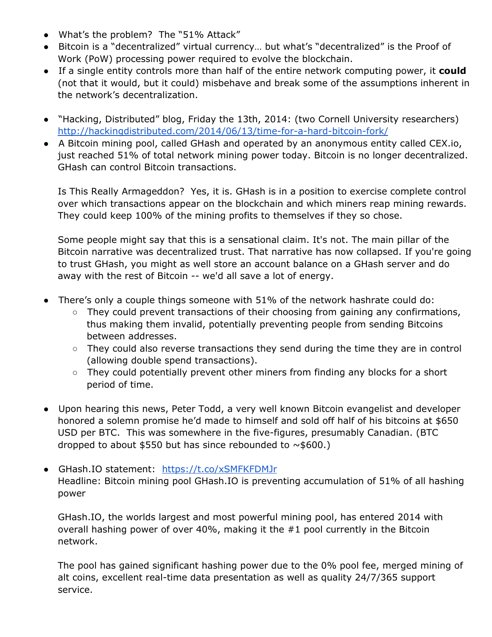- What's the problem? The "51% Attack"
- Bitcoin is a "decentralized" virtual currency… but what's "decentralized" is the Proof of Work (PoW) processing power required to evolve the blockchain.
- If a single entity controls more than half of the entire network computing power, it **could** (not that it would, but it could) misbehave and break some of the assumptions inherent in the network's decentralization.
- "Hacking, Distributed" blog, Friday the 13th, 2014: (two Cornell University researchers) [http://hackingdistributed.com/2014/06/13/time-for-a-hard-bitcoin-fork/](http://www.google.com/url?q=http%3A%2F%2Fhackingdistributed.com%2F2014%2F06%2F13%2Ftime-for-a-hard-bitcoin-fork%2F&sa=D&sntz=1&usg=AFQjCNFzYc5zWdqfxIOUBhA26iXZAh5okQ)
- A Bitcoin mining pool, called GHash and operated by an anonymous entity called CEX.io, just reached 51% of total network mining power today. Bitcoin is no longer decentralized. GHash can control Bitcoin transactions.

Is This Really Armageddon? Yes, it is. GHash is in a position to exercise complete control over which transactions appear on the blockchain and which miners reap mining rewards. They could keep 100% of the mining profits to themselves if they so chose.

Some people might say that this is a sensational claim. It's not. The main pillar of the Bitcoin narrative was decentralized trust. That narrative has now collapsed. If you're going to trust GHash, you might as well store an account balance on a GHash server and do away with the rest of Bitcoin -- we'd all save a lot of energy.

- There's only a couple things someone with 51% of the network hashrate could do:
	- They could prevent transactions of their choosing from gaining any confirmations, thus making them invalid, potentially preventing people from sending Bitcoins between addresses.
	- They could also reverse transactions they send during the time they are in control (allowing double spend transactions).
	- They could potentially prevent other miners from finding any blocks for a short period of time.
- Upon hearing this news, Peter Todd, a very well known Bitcoin evangelist and developer honored a solemn promise he'd made to himself and sold off half of his bitcoins at \$650 USD per BTC. This was somewhere in the five-figures, presumably Canadian. (BTC dropped to about \$550 but has since rebounded to  $\sim$  \$600.)
- GHash.IO statement: [https://t.co/xSMFKFDMJr](https://www.google.com/url?q=https%3A%2F%2Ft.co%2FxSMFKFDMJr&sa=D&sntz=1&usg=AFQjCNGQIvCDrybf8IT_QPkb4kegU1-O9Q) Headline: Bitcoin mining pool GHash.IO is preventing accumulation of 51% of all hashing power

GHash.IO, the worlds largest and most powerful mining pool, has entered 2014 with overall hashing power of over 40%, making it the #1 pool currently in the Bitcoin network.

The pool has gained significant hashing power due to the 0% pool fee, merged mining of alt coins, excellent real-time data presentation as well as quality 24/7/365 support service.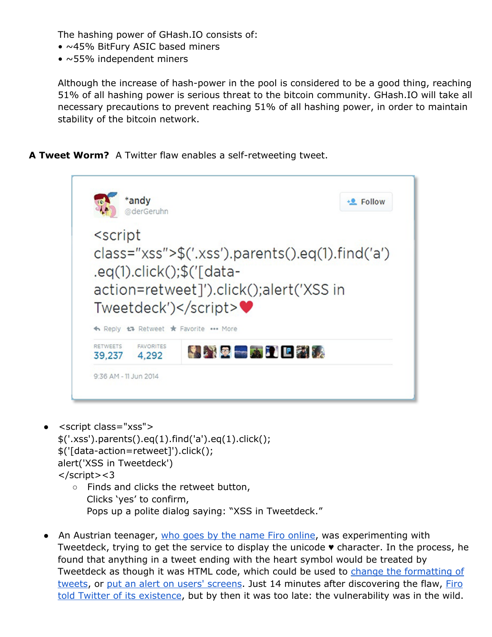The hashing power of GHash.IO consists of:

- ~45% BitFury ASIC based miners
- $\bullet$  ~55% independent miners

Although the increase of hash-power in the pool is considered to be a good thing, reaching 51% of all hashing power is serious threat to the bitcoin community. GHash.IO will take all necessary precautions to prevent reaching 51% of all hashing power, in order to maintain stability of the bitcoin network.

**A Tweet Worm?** A Twitter flaw enables a self-retweeting tweet.



- <script class="xss"> \$('.xss').parents().eq(1).find('a').eq(1).click(); \$('[data-action=retweet]').click(); alert('XSS in Tweetdeck') </script><3 ○ Finds and clicks the retweet button,
	- Clicks 'yes' to confirm, Pops up a polite dialog saying: "XSS in Tweetdeck."
- An Austrian teenager[,](https://www.google.com/url?q=https%3A%2F%2Ftwitter.com%2Ffiroxl&sa=D&sntz=1&usg=AFQjCNEQE3zCN2fBwD0eLopzERcLUR1IVQ) who goes by the name Firo [online,](https://www.google.com/url?q=https%3A%2F%2Ftwitter.com%2Ffiroxl&sa=D&sntz=1&usg=AFQjCNEQE3zCN2fBwD0eLopzERcLUR1IVQ) was experimenting with Tweetdeck, trying to get the service to display the unicode ♥ character. In the process, he found that anything in a tweet ending with the heart symbol would be treated by Tweetdeck as though it was HTML code, which could be used to [c](https://www.google.com/url?q=https%3A%2F%2Ftwitter.com%2Ffiroxl%2Fstatus%2F476741896875032576&sa=D&sntz=1&usg=AFQjCNHtKj-feRNA8xfFMOSnFS4vNhHYpg)hange the [formatting](https://www.google.com/url?q=https%3A%2F%2Ftwitter.com%2Ffiroxl%2Fstatus%2F476741896875032576&sa=D&sntz=1&usg=AFQjCNHtKj-feRNA8xfFMOSnFS4vNhHYpg) of [tweets,](https://www.google.com/url?q=https%3A%2F%2Ftwitter.com%2Ffiroxl%2Fstatus%2F476741896875032576&sa=D&sntz=1&usg=AFQjCNHtKj-feRNA8xfFMOSnFS4vNhHYpg) or [p](https://www.google.com/url?q=https%3A%2F%2Ftwitter.com%2Ffiroxl%2Fstatus%2F476742278875463680&sa=D&sntz=1&usg=AFQjCNEF9O1BLtrK81TGntdZSd_aU4uK2A)ut an alert on users' [screens.](https://www.google.com/url?q=https%3A%2F%2Ftwitter.com%2Ffiroxl%2Fstatus%2F476742278875463680&sa=D&sntz=1&usg=AFQjCNEF9O1BLtrK81TGntdZSd_aU4uK2A) Just 14 minutes after discovering the flaw[,](https://www.google.com/url?q=https%3A%2F%2Ftwitter.com%2Ffiroxl%2Fstatus%2F476744998432817152&sa=D&sntz=1&usg=AFQjCNHfFq1o9mDvaockUvnvaItyx3mrdw) [Firo](https://www.google.com/url?q=https%3A%2F%2Ftwitter.com%2Ffiroxl%2Fstatus%2F476744998432817152&sa=D&sntz=1&usg=AFQjCNHfFq1o9mDvaockUvnvaItyx3mrdw) told Twitter of its [existence](https://www.google.com/url?q=https%3A%2F%2Ftwitter.com%2Ffiroxl%2Fstatus%2F476744998432817152&sa=D&sntz=1&usg=AFQjCNHfFq1o9mDvaockUvnvaItyx3mrdw), but by then it was too late: the vulnerability was in the wild.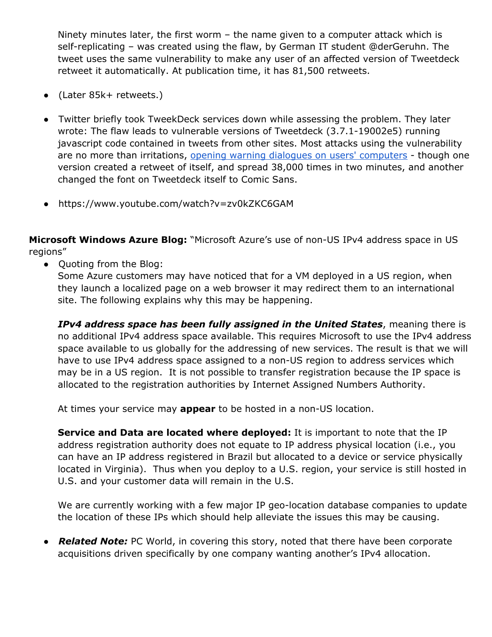Ninety minutes later, the first worm – the name given to a computer attack which is self-replicating – was created using the flaw, by German IT student @derGeruhn. The tweet uses the same vulnerability to make any user of an affected version of Tweetdeck retweet it automatically. At publication time, it has 81,500 retweets.

- (Later 85k+ retweets.)
- Twitter briefly took TweekDeck services down while assessing the problem. They later wrote: The flaw leads to vulnerable versions of Tweetdeck (3.7.1-19002e5) running javascript code contained in tweets from other sites. Most attacks using the vulnerability are no more than irritations[,](https://www.google.com/url?q=https%3A%2F%2Ftwitter.com%2F__Freakyclown__%2Fstatus%2F476749163020161024&sa=D&sntz=1&usg=AFQjCNFee24A_Ctcd1sjg_ALztbCawMJgQ) opening warning dialogues on users' [computers](https://www.google.com/url?q=https%3A%2F%2Ftwitter.com%2F__Freakyclown__%2Fstatus%2F476749163020161024&sa=D&sntz=1&usg=AFQjCNFee24A_Ctcd1sjg_ALztbCawMJgQ) - though one version created a retweet of itself, and spread 38,000 times in two minutes, and another changed the font on Tweetdeck itself to Comic Sans.
- https://www.youtube.com/watch?v=zv0kZKC6GAM

**Microsoft Windows Azure Blog:** "Microsoft Azure's use of non-US IPv4 address space in US regions"

● Quoting from the Blog:

Some Azure customers may have noticed that for a VM deployed in a US region, when they launch a localized page on a web browser it may redirect them to an international site. The following explains why this may be happening.

*IPv4 address space has been fully assigned in the United States*, meaning there is no additional IPv4 address space available. This requires Microsoft to use the IPv4 address space available to us globally for the addressing of new services. The result is that we will have to use IPv4 address space assigned to a non-US region to address services which may be in a US region. It is not possible to transfer registration because the IP space is allocated to the registration authorities by Internet Assigned Numbers Authority.

At times your service may **appear** to be hosted in a non-US location.

**Service and Data are located where deployed:** It is important to note that the IP address registration authority does not equate to IP address physical location (i.e., you can have an IP address registered in Brazil but allocated to a device or service physically located in Virginia). Thus when you deploy to a U.S. region, your service is still hosted in U.S. and your customer data will remain in the U.S.

We are currently working with a few major IP geo-location database companies to update the location of these IPs which should help alleviate the issues this may be causing.

● *Related Note:* PC World, in covering this story, noted that there have been corporate acquisitions driven specifically by one company wanting another's IPv4 allocation.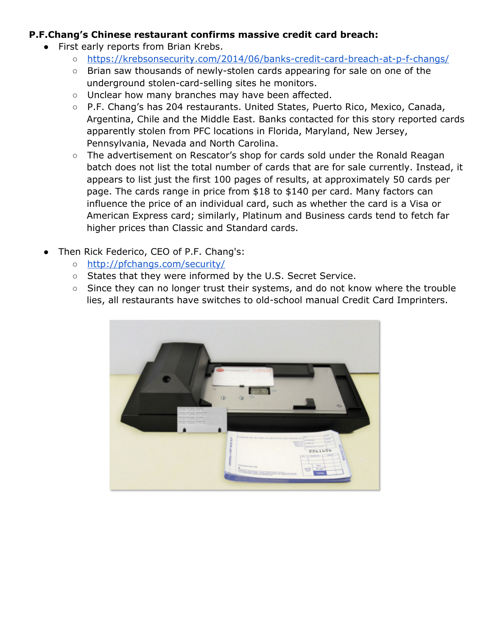## **P.F.Chang's Chinese restaurant confirms massive credit card breach:**

- First early reports from Brian Krebs.
	- [https://krebsonsecurity.com/2014/06/banks-credit-card-breach-at-p-f-changs/](https://www.google.com/url?q=https%3A%2F%2Fkrebsonsecurity.com%2F2014%2F06%2Fbanks-credit-card-breach-at-p-f-changs%2F&sa=D&sntz=1&usg=AFQjCNG6PbURTVa7J1H-NwTO9IFtF3G3Iw)
	- Brian saw thousands of newly-stolen cards appearing for sale on one of the underground stolen-card-selling sites he monitors.
	- Unclear how many branches may have been affected.
	- P.F. Chang's has 204 restaurants. United States, Puerto Rico, Mexico, Canada, Argentina, Chile and the Middle East. Banks contacted for this story reported cards apparently stolen from PFC locations in Florida, Maryland, New Jersey, Pennsylvania, Nevada and North Carolina.
	- The advertisement on Rescator's shop for cards sold under the Ronald Reagan batch does not list the total number of cards that are for sale currently. Instead, it appears to list just the first 100 pages of results, at approximately 50 cards per page. The cards range in price from \$18 to \$140 per card. Many factors can influence the price of an individual card, such as whether the card is a Visa or American Express card; similarly, Platinum and Business cards tend to fetch far higher prices than Classic and Standard cards.
- Then Rick Federico, CEO of P.F. Chang's:
	- [http://pfchangs.com/security/](http://www.google.com/url?q=http%3A%2F%2Fpfchangs.com%2Fsecurity%2F&sa=D&sntz=1&usg=AFQjCNFnGmhlYNWergx40jDGSV1bv2ft-g)
	- States that they were informed by the U.S. Secret Service.
	- Since they can no longer trust their systems, and do not know where the trouble lies, all restaurants have switches to old-school manual Credit Card Imprinters.

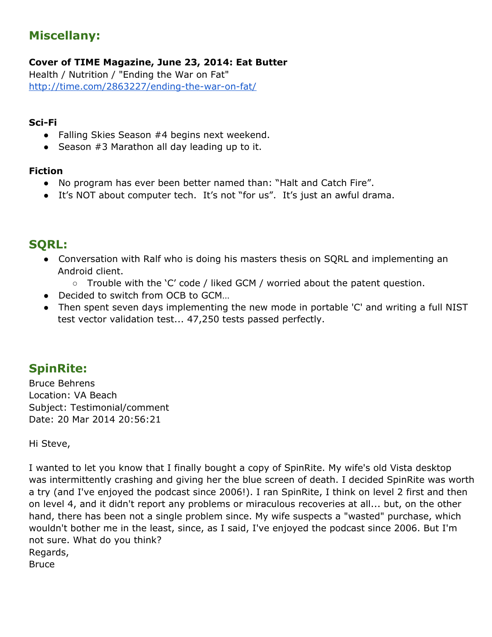# **Miscellany:**

**Cover of TIME Magazine, June 23, 2014: Eat Butter**

Health / Nutrition / "Ending the War on Fat" [http://time.com/2863227/ending-the-war-on-fat/](http://www.google.com/url?q=http%3A%2F%2Ftime.com%2F2863227%2Fending-the-war-on-fat%2F&sa=D&sntz=1&usg=AFQjCNHqCXLBFcKNRFqNYtTVcH2Y0jf09Q)

#### **Sci-Fi**

- Falling Skies Season #4 begins next weekend.
- Season #3 Marathon all day leading up to it.

### **Fiction**

- No program has ever been better named than: "Halt and Catch Fire".
- It's NOT about computer tech. It's not "for us". It's just an awful drama.

## **SQRL:**

- Conversation with Ralf who is doing his masters thesis on SQRL and implementing an Android client.
	- Trouble with the 'C' code / liked GCM / worried about the patent question.
- Decided to switch from OCB to GCM...
- Then spent seven days implementing the new mode in portable 'C' and writing a full NIST test vector validation test... 47,250 tests passed perfectly.

# **SpinRite:**

Bruce Behrens Location: VA Beach Subject: Testimonial/comment Date: 20 Mar 2014 20:56:21

Hi Steve,

I wanted to let you know that I finally bought a copy of SpinRite. My wife's old Vista desktop was intermittently crashing and giving her the blue screen of death. I decided SpinRite was worth a try (and I've enjoyed the podcast since 2006!). I ran SpinRite, I think on level 2 first and then on level 4, and it didn't report any problems or miraculous recoveries at all... but, on the other hand, there has been not a single problem since. My wife suspects a "wasted" purchase, which wouldn't bother me in the least, since, as I said, I've enjoyed the podcast since 2006. But I'm not sure. What do you think? Regards, **Bruce**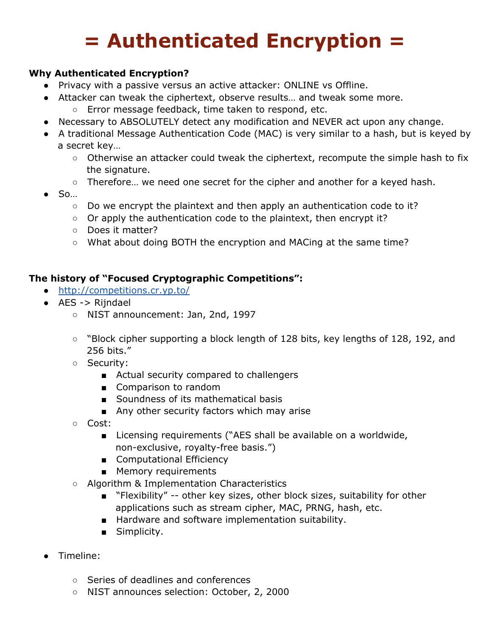# **= Authenticated Encryption =**

## **Why Authenticated Encryption?**

- Privacy with a passive versus an active attacker: ONLINE vs Offline.
- Attacker can tweak the ciphertext, observe results… and tweak some more.
	- Error message feedback, time taken to respond, etc.
- Necessary to ABSOLUTELY detect any modification and NEVER act upon any change.
- A traditional Message Authentication Code (MAC) is very similar to a hash, but is keyed by a secret key…
	- Otherwise an attacker could tweak the ciphertext, recompute the simple hash to fix the signature.
	- Therefore… we need one secret for the cipher and another for a keyed hash.
- So…
	- Do we encrypt the plaintext and then apply an authentication code to it?
	- Or apply the authentication code to the plaintext, then encrypt it?
	- Does it matter?
	- What about doing BOTH the encryption and MACing at the same time?

## **The history of "Focused Cryptographic Competitions":**

- [http://competitions.cr.yp.to/](http://www.google.com/url?q=http%3A%2F%2Fcompetitions.cr.yp.to%2F&sa=D&sntz=1&usg=AFQjCNEhYlWPpsm0C7DRw9dTdGGPAOWc8A)
- AES -> Rijndael
	- NIST announcement: Jan, 2nd, 1997
	- "Block cipher supporting a block length of 128 bits, key lengths of 128, 192, and 256 bits."
	- Security:
		- Actual security compared to challengers
		- Comparison to random
		- Soundness of its mathematical basis
		- Any other security factors which may arise
	- Cost:
		- Licensing requirements ("AES shall be available on a worldwide, non-exclusive, royalty-free basis.")
		- Computational Efficiency
		- Memory requirements
	- Algorithm & Implementation Characteristics
		- "Flexibility" -- other key sizes, other block sizes, suitability for other applications such as stream cipher, MAC, PRNG, hash, etc.
		- Hardware and software implementation suitability.
		- Simplicity.
- Timeline:
	- Series of deadlines and conferences
	- NIST announces selection: October, 2, 2000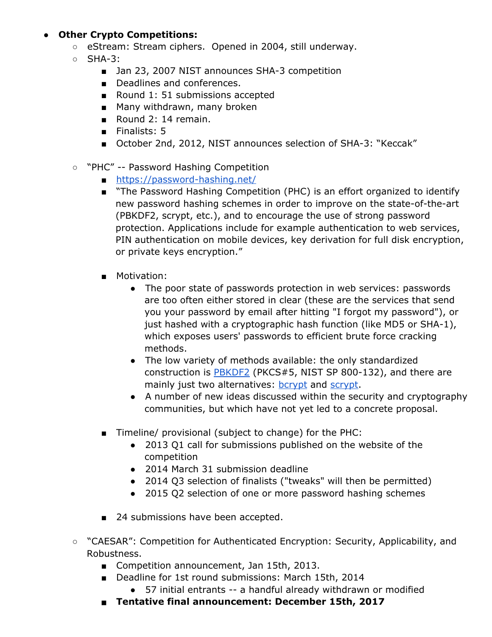## **● Other Crypto Competitions:**

- eStream: Stream ciphers. Opened in 2004, still underway.
- SHA-3:
	- Jan 23, 2007 NIST announces SHA-3 competition
	- Deadlines and conferences.
	- Round 1: 51 submissions accepted
	- Many withdrawn, many broken
	- Round 2: 14 remain.
	- Finalists: 5
	- October 2nd, 2012, NIST announces selection of SHA-3: "Keccak"
- "PHC" -- Password Hashing Competition
	- [https://password-hashing.net/](https://www.google.com/url?q=https%3A%2F%2Fpassword-hashing.net%2F&sa=D&sntz=1&usg=AFQjCNGeGYyYsDqha9fbnIPX893hfH5cXw)
	- "The Password Hashing Competition (PHC) is an effort organized to identify new password hashing schemes in order to improve on the state-of-the-art (PBKDF2, scrypt, etc.), and to encourage the use of strong password protection. Applications include for example authentication to web services, PIN authentication on mobile devices, key derivation for full disk encryption, or private keys encryption."
	- Motivation:
		- The poor state of passwords protection in web services: passwords are too often either stored in clear (these are the services that send you your password by email after hitting "I forgot my password"), or just hashed with a cryptographic hash function (like MD5 or SHA-1), which exposes users' passwords to efficient brute force cracking methods.
		- The low variety of methods available: the only standardized construction i[s](http://www.google.com/url?q=http%3A%2F%2Fen.wikipedia.org%2Fwiki%2FPBKDF2&sa=D&sntz=1&usg=AFQjCNHk4yz6RKmshSvS2Q-270CEbzhfiw) [PBKDF2](http://www.google.com/url?q=http%3A%2F%2Fen.wikipedia.org%2Fwiki%2FPBKDF2&sa=D&sntz=1&usg=AFQjCNHk4yz6RKmshSvS2Q-270CEbzhfiw) (PKCS#5, NIST SP 800-132), and there are mainly just two alternatives: **[bcrypt](http://www.google.com/url?q=http%3A%2F%2Fen.wikipedia.org%2Fwiki%2FBcrypt&sa=D&sntz=1&usg=AFQjCNHXCEV2q-r1IraFztohmLdvkcXuDA)** and [scrypt.](http://www.google.com/url?q=http%3A%2F%2Fwww.tarsnap.com%2Fscrypt.html&sa=D&sntz=1&usg=AFQjCNGuOj-4IQDyVlGwALlz6K0RRoPXtw)
		- A number of new ideas discussed within the security and cryptography communities, but which have not yet led to a concrete proposal.
	- Timeline/ provisional (subject to change) for the PHC:
		- 2013 Q1 call for submissions published on the website of the competition
		- 2014 March 31 submission deadline
		- 2014 Q3 selection of finalists ("tweaks" will then be permitted)
		- 2015 Q2 selection of one or more password hashing schemes
	- 24 submissions have been accepted.
- "CAESAR": Competition for Authenticated Encryption: Security, Applicability, and Robustness.
	- Competition announcement, Jan 15th, 2013.
	- Deadline for 1st round submissions: March 15th, 2014
		- 57 initial entrants -- a handful already withdrawn or modified
	- **Tentative final announcement: December 15th, 2017**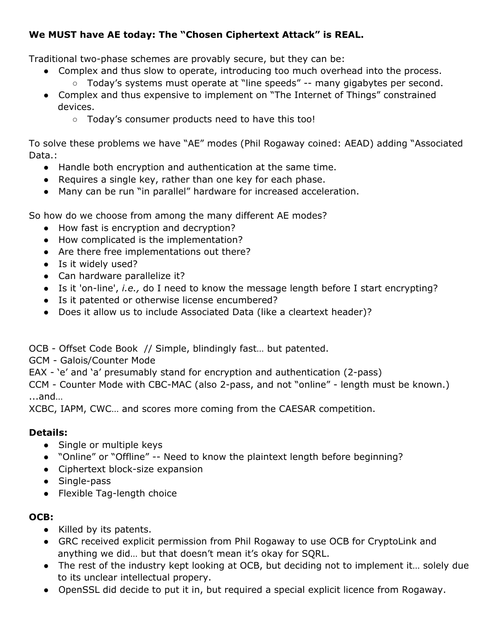## **We MUST have AE today: The "Chosen Ciphertext Attack" is REAL.**

Traditional two-phase schemes are provably secure, but they can be:

- Complex and thus slow to operate, introducing too much overhead into the process.
	- Today's systems must operate at "line speeds" -- many gigabytes per second.
- Complex and thus expensive to implement on "The Internet of Things" constrained devices.
	- Today's consumer products need to have this too!

To solve these problems we have "AE" modes (Phil Rogaway coined: AEAD) adding "Associated Data.:

- Handle both encryption and authentication at the same time.
- Requires a single key, rather than one key for each phase.
- Many can be run "in parallel" hardware for increased acceleration.

So how do we choose from among the many different AE modes?

- How fast is encryption and decryption?
- How complicated is the implementation?
- Are there free implementations out there?
- Is it widely used?
- Can hardware parallelize it?
- Is it 'on-line', *i.e.,* do I need to know the message length before I start encrypting?
- Is it patented or otherwise license encumbered?
- Does it allow us to include Associated Data (like a cleartext header)?

OCB - Offset Code Book // Simple, blindingly fast… but patented.

GCM - Galois/Counter Mode

EAX - 'e' and 'a' presumably stand for encryption and authentication (2-pass)

CCM - Counter Mode with CBC-MAC (also 2-pass, and not "online" - length must be known.) ...and…

XCBC, IAPM, CWC… and scores more coming from the CAESAR competition.

## **Details:**

- Single or multiple keys
- "Online" or "Offline" -- Need to know the plaintext length before beginning?
- Ciphertext block-size expansion
- Single-pass
- Flexible Tag-length choice

## **OCB:**

- Killed by its patents.
- GRC received explicit permission from Phil Rogaway to use OCB for CryptoLink and anything we did… but that doesn't mean it's okay for SQRL.
- The rest of the industry kept looking at OCB, but deciding not to implement it… solely due to its unclear intellectual propery.
- OpenSSL did decide to put it in, but required a special explicit licence from Rogaway.